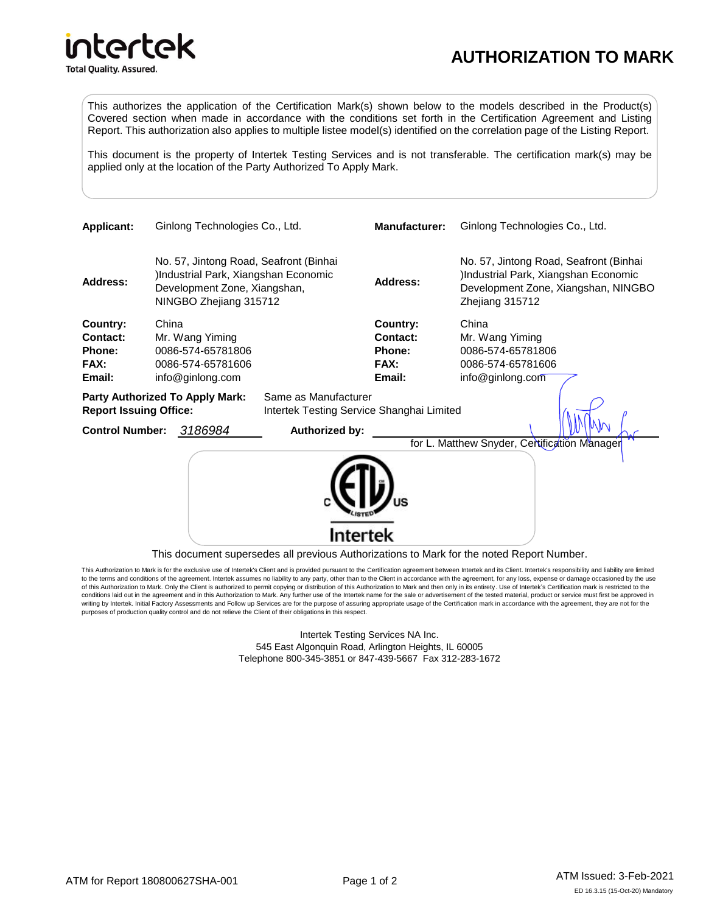## intertek **Total Quality. Assured.**

## **AUTHORIZATION TO MARK**

This authorizes the application of the Certification Mark(s) shown below to the models described in the Product(s) Covered section when made in accordance with the conditions set forth in the Certification Agreement and Listing Report. This authorization also applies to multiple listee model(s) identified on the correlation page of the Listing Report.

This document is the property of Intertek Testing Services and is not transferable. The certification mark(s) may be applied only at the location of the Party Authorized To Apply Mark.

| <b>Applicant:</b>                                              |       | Ginlong Technologies Co., Ltd.                                                                                                          |                                           | <b>Manufacturer:</b>                                           | Ginlong Technologies Co., Ltd.                                                                                                           |
|----------------------------------------------------------------|-------|-----------------------------------------------------------------------------------------------------------------------------------------|-------------------------------------------|----------------------------------------------------------------|------------------------------------------------------------------------------------------------------------------------------------------|
| <b>Address:</b>                                                |       | No. 57, Jintong Road, Seafront (Binhai<br>Industrial Park, Xiangshan Economic<br>Development Zone, Xiangshan,<br>NINGBO Zhejiang 315712 |                                           | <b>Address:</b>                                                | No. 57, Jintong Road, Seafront (Binhai<br>)Industrial Park, Xiangshan Economic<br>Development Zone, Xiangshan, NINGBO<br>Zhejiang 315712 |
| Country:<br><b>Contact:</b><br><b>Phone:</b><br>FAX:<br>Email: | China | Mr. Wang Yiming<br>0086-574-65781806<br>0086-574-65781606<br>info@ginlong.com<br><b>Party Authorized To Apply Mark:</b>                 | Same as Manufacturer                      | Country:<br><b>Contact:</b><br><b>Phone:</b><br>FAX:<br>Email: | China<br>Mr. Wang Yiming<br>0086-574-65781806<br>0086-574-65781606<br>info@ginlong.com                                                   |
| <b>Report Issuing Office:</b>                                  |       |                                                                                                                                         | Intertek Testing Service Shanghai Limited |                                                                |                                                                                                                                          |
| <b>Control Number:</b>                                         |       | 3186984                                                                                                                                 | Authorized by:                            |                                                                | for L. Matthew Snyder, Certification Manager                                                                                             |
|                                                                |       |                                                                                                                                         | Intertek                                  |                                                                |                                                                                                                                          |
|                                                                |       |                                                                                                                                         |                                           |                                                                | This document supersedes all previous Authorizations to Mark for the noted Report Number.                                                |

This Authorization to Mark is for the exclusive use of Intertek's Client and is provided pursuant to the Certification agreement between Intertek and its Client. Intertek's responsibility and liability are limited to the terms and conditions of the agreement. Intertek assumes no liability to any party, other than to the Client in accordance with the agreement, for any loss, expense or damage occasioned by the use of this Authorization to Mark. Only the Client is authorized to permit copying or distribution of this Authorization to Mark and then only in its entirety. Use of Intertek's Certification mark is restricted to the conditions laid out in the agreement and in this Authorization to Mark. Any further use of the Intertek name for the sale or advertisement of the tested material, product or service must first be approved in<br>writing by Int purposes of production quality control and do not relieve the Client of their obligations in this respect.

> Intertek Testing Services NA Inc. 545 East Algonquin Road, Arlington Heights, IL 60005 Telephone 800-345-3851 or 847-439-5667 Fax 312-283-1672